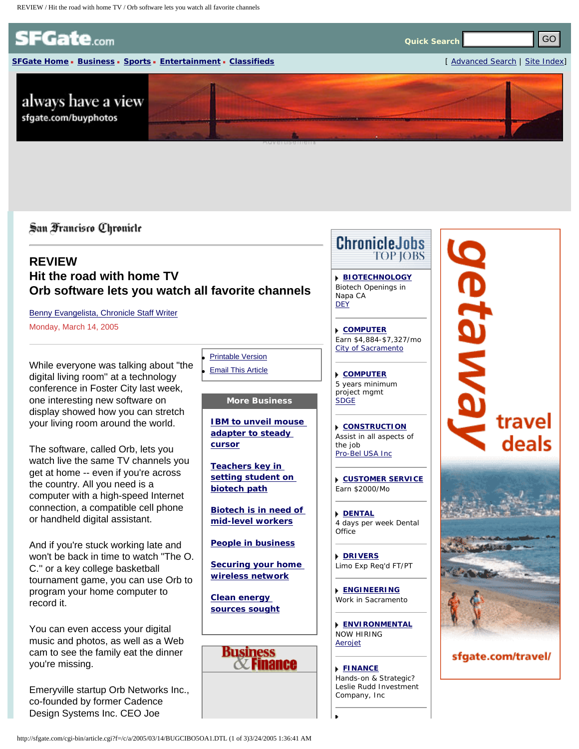<span id="page-0-0"></span>

**[SFGate Home](http://sfgate.com/) [Business](http://sfgate.com/business/) [Sports](http://sfgate.com/sports/) [Entertainment](http://sfgate.com/entertainment/) [Classifieds](http://sfgate.com/classifieds/)** [ [Advanced Search](http://sfgate.com/search/) | [Site Index](http://www.sfgate.com/index/)]

**Quick Search**

# **REVIEW Hit the road with home TV Orb software lets you watch all favorite channels**

[Benny Evangelista, Chronicle Staff Writer](mailto:bevangelista@sfchronicle.com) Monday, March 14, 2005

While everyone was talking about "the digital living room'' at a technology conference in Foster City last week, one interesting new software on display showed how you can stretch your living room around the world.

The software, called Orb, lets you watch live the same TV channels you get at home -- even if you're across the country. All you need is a computer with a high-speed Internet connection, a compatible cell phone or handheld digital assistant.

And if you're stuck working late and won't be back in time to watch "The O. C.'' or a key college basketball tournament game, you can use Orb to program your home computer to record it.

You can even access your digital music and photos, as well as a Web cam to see the family eat the dinner you're missing.

Emeryville startup Orb Networks Inc., co-founded by former Cadence Design Systems Inc. CEO Joe

**[Printable Version](http://sfgate.com/cgi-bin/article.cgi?file=/c/a/2005/03/14/BUGCIBO5OA1.DTL&type=printable) [Email This Article](http://sfgate.com/cgi-bin/article.cgi?file=/c/a/2005/03/14/BUGCIBO5OA1.DTL&type=friend&emailcolor=%2310C7F3&origin=http://www.sfgate.com/cgi-bin/article.cgi%3Ff%3D%2Fc%2Fa%2F2005%2F03%2F14%2FBUGCIBO5OA1.DTL)** 

## **More Business**

**[IBM to unveil mouse](http://www.sfgate.com/cgi-bin/article.cgi?file=/chronicle/archive/2005/03/14/BUGCIBO7E01.DTL&type=business)  [adapter to steady](http://www.sfgate.com/cgi-bin/article.cgi?file=/chronicle/archive/2005/03/14/BUGCIBO7E01.DTL&type=business)  [cursor](http://www.sfgate.com/cgi-bin/article.cgi?file=/chronicle/archive/2005/03/14/BUGCIBO7E01.DTL&type=business)**

**[Teachers key in](http://www.sfgate.com/cgi-bin/article.cgi?file=/chronicle/archive/2005/03/14/BUGCIBO7E21.DTL&type=business) [setting student on](http://www.sfgate.com/cgi-bin/article.cgi?file=/chronicle/archive/2005/03/14/BUGCIBO7E21.DTL&type=business)  [biotech path](http://www.sfgate.com/cgi-bin/article.cgi?file=/chronicle/archive/2005/03/14/BUGCIBO7E21.DTL&type=business)**

**[Biotech is in need of](http://www.sfgate.com/cgi-bin/article.cgi?file=/chronicle/archive/2005/03/14/BUGCIBO5O41.DTL&type=business) [mid-level workers](http://www.sfgate.com/cgi-bin/article.cgi?file=/chronicle/archive/2005/03/14/BUGCIBO5O41.DTL&type=business)**

**[People in business](http://www.sfgate.com/cgi-bin/article.cgi?file=/chronicle/archive/2005/03/14/BUG39BO6J31.DTL&type=business)**

**[Securing your home](http://www.sfgate.com/cgi-bin/article.cgi?file=/chronicle/archive/2005/03/14/BUG39BO6J51.DTL&type=business) [wireless network](http://www.sfgate.com/cgi-bin/article.cgi?file=/chronicle/archive/2005/03/14/BUG39BO6J51.DTL&type=business)**

**[Clean energy](http://www.sfgate.com/cgi-bin/article.cgi?file=/chronicle/archive/2005/03/14/BUG39BOD301.DTL&type=business)  [sources sought](http://www.sfgate.com/cgi-bin/article.cgi?file=/chronicle/archive/2005/03/14/BUG39BOD301.DTL&type=business)**



**[BIOTECHNOLOGY](http://sfgate.com/cgi-bin/adjacency/jason/details?ad=1bd06f50)** Biotech Openings in Napa CA *[DEY](http://www.dey.com/)*

**[COMPUTER](http://sfgate.com/cgi-bin/adjacency/jason/details?ad=ead06f50)** Earn \$4,884-\$7,327/mo *[City of Sacramento](http://www.cityofsacramento.org/personnel)*

**[COMPUTER](http://sfgate.com/cgi-bin/adjacency/jason/details?ad=a0e06f50)** 5 years minimum project mgmt *[SDGE](http://www.sdge.com/)*

**[CONSTRUCTION](http://sfgate.com/cgi-bin/adjacency/jason/details?ad=c8d06f50)** Assist in all aspects of the job *[Pro-Bel USA Inc](http://www.pro-bel.ca/)*

**[CUSTOMER SERVICE](http://sfgate.com/cgi-bin/adjacency/jason/details?ad=b0e06f50)** Earn \$2000/Mo

**[DENTAL](http://sfgate.com/cgi-bin/adjacency/jason/details?ad=c0e06f50)** 4 days per week Dental **Office** 

**[DRIVERS](http://sfgate.com/cgi-bin/adjacency/jason/details?ad=e0e06f50)** Limo Exp Req'd FT/PT

**[ENGINEERING](http://sfgate.com/cgi-bin/adjacency/jason/details?ad=f0e06f50)** Work in Sacramento

**[ENVIRONMENTAL](http://sfgate.com/cgi-bin/adjacency/jason/details?ad=39d06f50)** NOW HIRING *[Aerojet](http://www.aerojet.com/)*

**[FINANCE](http://sfgate.com/cgi-bin/adjacency/jason/details?ad=bad06f50)**

Hands-on & Strategic? *Leslie Rudd Investment Company, Inc*



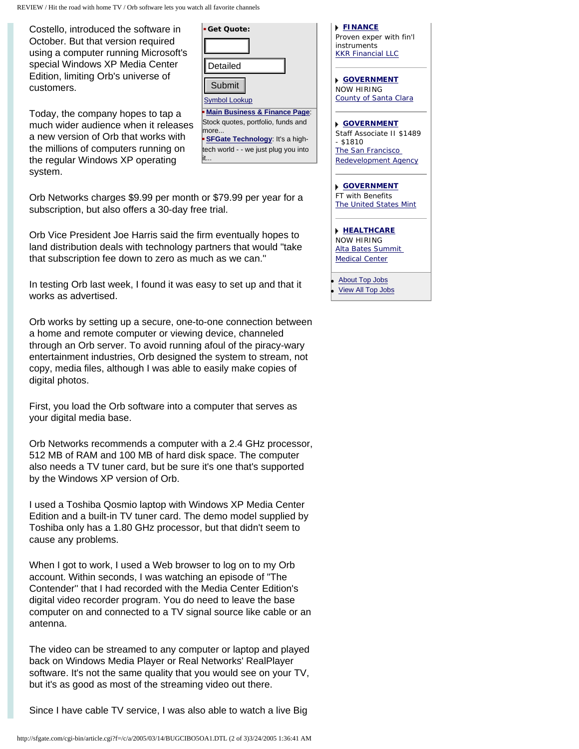REVIEW / Hit the road with home TV / Orb software lets you watch all favorite channels

Costello, introduced the software in October. But that version required using a computer running Microsoft's special Windows XP Media Center Edition, limiting Orb's universe of customers.

Today, the company hopes to tap a much wider audience when it releases a new version of Orb that works with the millions of computers running on the regular Windows XP operating system.

[Symbol Lookup](http://studio.financialcontent.com/Engine?Account=sfgate&PageName=SYMBOLLOOKUP) **[Main Business & Finance Page](http://sfgate.com/business/)**: Stock quotes, portfolio, funds and more...

**Get Quote:**

**[SFGate Technology](http://sfgate.com/technology/)**: It's a hightech world - - we just plug you into it...

Orb Networks charges \$9.99 per month or \$79.99 per year for a subscription, but also offers a 30-day free trial.

Orb Vice President Joe Harris said the firm eventually hopes to land distribution deals with technology partners that would "take that subscription fee down to zero as much as we can.''

In testing Orb last week, I found it was easy to set up and that it works as advertised.

Orb works by setting up a secure, one-to-one connection between a home and remote computer or viewing device, channeled through an Orb server. To avoid running afoul of the piracy-wary entertainment industries, Orb designed the system to stream, not copy, media files, although I was able to easily make copies of digital photos.

First, you load the Orb software into a computer that serves as your digital media base.

Orb Networks recommends a computer with a 2.4 GHz processor, 512 MB of RAM and 100 MB of hard disk space. The computer also needs a TV tuner card, but be sure it's one that's supported by the Windows XP version of Orb.

I used a Toshiba Qosmio laptop with Windows XP Media Center Edition and a built-in TV tuner card. The demo model supplied by Toshiba only has a 1.80 GHz processor, but that didn't seem to cause any problems.

When I got to work, I used a Web browser to log on to my Orb account. Within seconds, I was watching an episode of "The Contender'' that I had recorded with the Media Center Edition's digital video recorder program. You do need to leave the base computer on and connected to a TV signal source like cable or an antenna. special (internal of the translation of the translation of the translation of the translation of the translation of the translation of the translation of the translation of the translation of the translation of the transla

The video can be streamed to any computer or laptop and played back on Windows Media Player or Real Networks' RealPlayer software. It's not the same quality that you would see on your TV, but it's as good as most of the streaming video out there.

Since I have cable TV service, I was also able to watch a live Big

| Proven exper with fin'l       |
|-------------------------------|
| instruments                   |
| <b>KKR Financial LLC</b>      |
|                               |
|                               |
| <b>NOVERNMENT</b>             |
| NOW HIRING                    |
| County of Santa Clara         |
|                               |
| <b>GOVERNMENT</b>             |
| Staff Associate II \$1489     |
| - \$1810                      |
| The San Francisco             |
| <b>Redevelopment Agency</b>   |
|                               |
| <b>NGOVERNMENT</b>            |
| <b>FT with Benefits</b>       |
|                               |
| <b>The United States Mint</b> |
|                               |
| <b>I HEALTHCARE</b>           |
| NOW HIRING                    |
| Alta Bates Summit             |
| <b>Medical Center</b>         |
|                               |
| <b>About Top Jobs</b>         |

**[View All Top Jobs](http://sfgate.com/cgi-bin/adjacency/jason/list)** 

**[FINANCE](http://sfgate.com/cgi-bin/adjacency/jason/details?ad=92e06f50)**